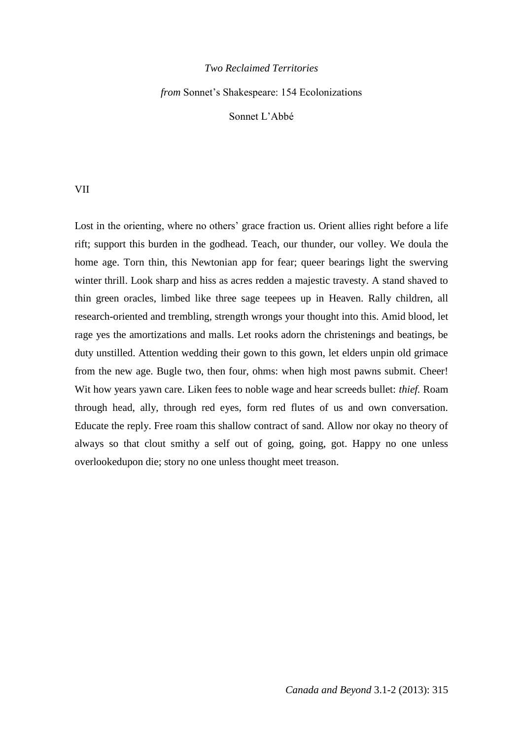## *Two Reclaimed Territories*

*from* Sonnet's Shakespeare: 154 Ecolonizations

Sonnet L'Abbé

VII

Lost in the orienting, where no others' grace fraction us. Orient allies right before a life rift; support this burden in the godhead. Teach, our thunder, our volley. We doula the home age. Torn thin, this Newtonian app for fear; queer bearings light the swerving winter thrill. Look sharp and hiss as acres redden a majestic travesty. A stand shaved to thin green oracles, limbed like three sage teepees up in Heaven. Rally children, all research-oriented and trembling, strength wrongs your thought into this. Amid blood, let rage yes the amortizations and malls. Let rooks adorn the christenings and beatings, be duty unstilled. Attention wedding their gown to this gown, let elders unpin old grimace from the new age. Bugle two, then four, ohms: when high most pawns submit. Cheer! Wit how years yawn care. Liken fees to noble wage and hear screeds bullet: *thief.* Roam through head, ally, through red eyes, form red flutes of us and own conversation. Educate the reply. Free roam this shallow contract of sand. Allow nor okay no theory of always so that clout smithy a self out of going, going, got. Happy no one unless overlookedupon die; story no one unless thought meet treason.